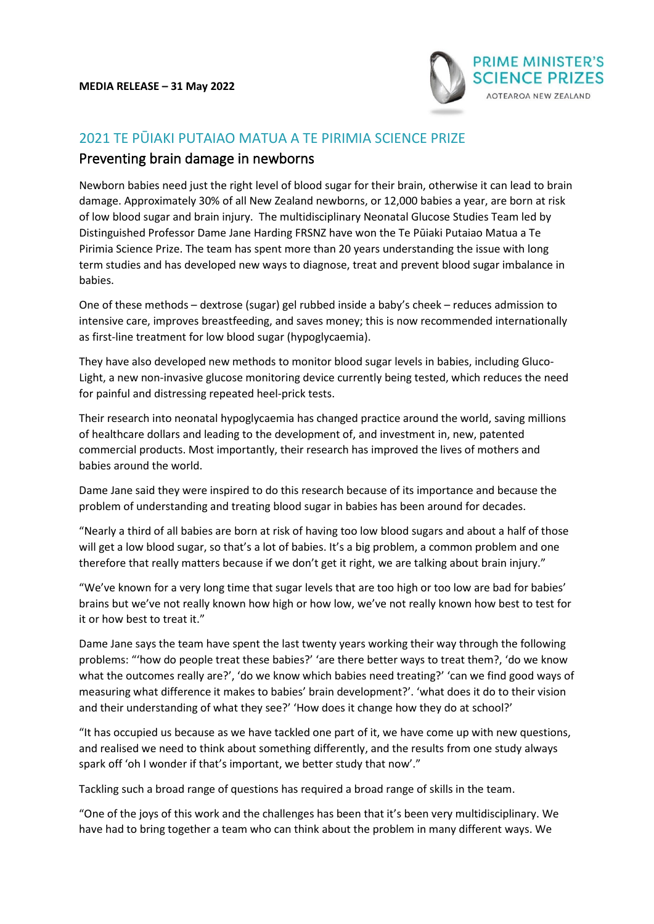

# 2021 TE PŪIAKI PUTAIAO MATUA A TE PIRIMIA SCIENCE PRIZE

## Preventing brain damage in newborns

Newborn babies need just the right level of blood sugar for their brain, otherwise it can lead to brain damage. Approximately 30% of all New Zealand newborns, or 12,000 babies a year, are born at risk of low blood sugar and brain injury. The multidisciplinary Neonatal Glucose Studies Team led by Distinguished Professor Dame Jane Harding FRSNZ have won the Te Pūiaki Putaiao Matua a Te Pirimia Science Prize. The team has spent more than 20 years understanding the issue with long term studies and has developed new ways to diagnose, treat and prevent blood sugar imbalance in babies.

One of these methods – dextrose (sugar) gel rubbed inside a baby's cheek – reduces admission to intensive care, improves breastfeeding, and saves money; this is now recommended internationally as first-line treatment for low blood sugar (hypoglycaemia).

They have also developed new methods to monitor blood sugar levels in babies, including Gluco-Light, a new non-invasive glucose monitoring device currently being tested, which reduces the need for painful and distressing repeated heel-prick tests.

Their research into neonatal hypoglycaemia has changed practice around the world, saving millions of healthcare dollars and leading to the development of, and investment in, new, patented commercial products. Most importantly, their research has improved the lives of mothers and babies around the world.

Dame Jane said they were inspired to do this research because of its importance and because the problem of understanding and treating blood sugar in babies has been around for decades.

"Nearly a third of all babies are born at risk of having too low blood sugars and about a half of those will get a low blood sugar, so that's a lot of babies. It's a big problem, a common problem and one therefore that really matters because if we don't get it right, we are talking about brain injury."

"We've known for a very long time that sugar levels that are too high or too low are bad for babies' brains but we've not really known how high or how low, we've not really known how best to test for it or how best to treat it."

Dame Jane says the team have spent the last twenty years working their way through the following problems: "'how do people treat these babies?' 'are there better ways to treat them?, 'do we know what the outcomes really are?', 'do we know which babies need treating?' 'can we find good ways of measuring what difference it makes to babies' brain development?'. 'what does it do to their vision and their understanding of what they see?' 'How does it change how they do at school?'

"It has occupied us because as we have tackled one part of it, we have come up with new questions, and realised we need to think about something differently, and the results from one study always spark off 'oh I wonder if that's important, we better study that now'."

Tackling such a broad range of questions has required a broad range of skills in the team.

"One of the joys of this work and the challenges has been that it's been very multidisciplinary. We have had to bring together a team who can think about the problem in many different ways. We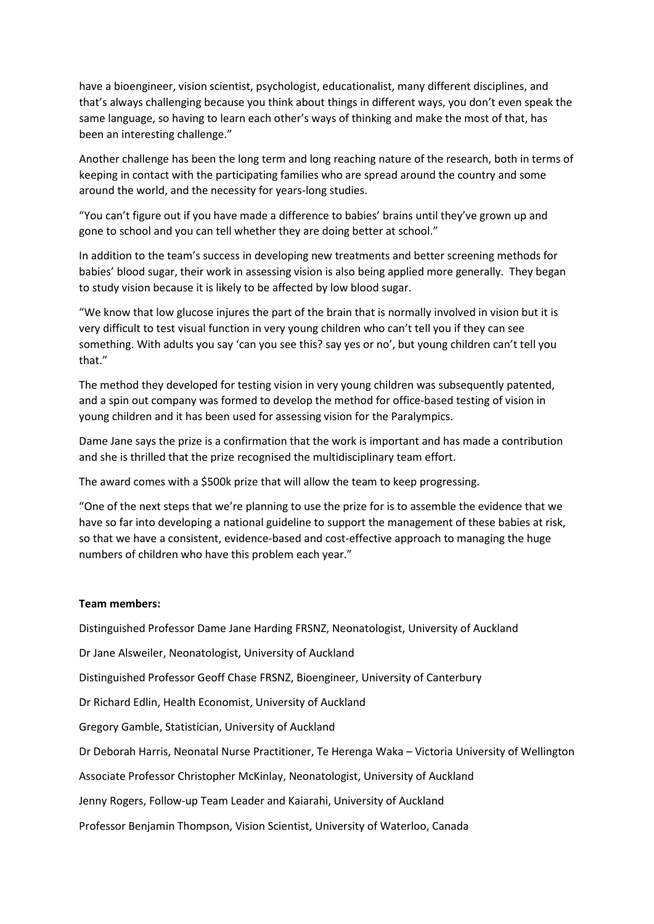have a bioengineer, vision scientist, psychologist, educationalist, many different disciplines, and that's always challenging because you think about things in different ways, you don't even speak the same language, so having to learn each other's ways of thinking and make the most of that, has been an interesting challenge."

Another challenge has been the long term and long reaching nature of the research, both in terms of keeping in contact with the participating families who are spread around the country and some around the world, and the necessity for years-long studies.

"You can't figure out if you have made a difference to babies' brains until they've grown up and gone to school and you can tell whether they are doing better at school."

In addition to the team's success in developing new treatments and better screening methods for babies' blood sugar, their work in assessing vision is also being applied more generally. They began to study vision because it is likely to be affected by low blood sugar.

"We know that low glucose injures the part of the brain that is normally involved in vision but it is very difficult to test visual function in very young children who can't tell you if they can see something. With adults you say 'can you see this? say yes or no', but young children can't tell you that."

The method they developed for testing vision in very young children was subsequently patented, and a spin out company was formed to develop the method for office-based testing of vision in young children and it has been used for assessing vision for the Paralympics.

Dame Jane says the prize is a confirmation that the work is important and has made a contribution and she is thrilled that the prize recognised the multidisciplinary team effort.

The award comes with a \$500k prize that will allow the team to keep progressing.

"One of the next steps that we're planning to use the prize for is to assemble the evidence that we have so far into developing a national guideline to support the management of these babies at risk, so that we have a consistent, evidence-based and cost-effective approach to managing the huge numbers of children who have this problem each year."

#### **Team members:**

Distinguished Professor Dame Jane Harding FRSNZ, Neonatologist, University of Auckland

Dr Jane Alsweiler, Neonatologist, University of Auckland

Distinguished Professor Geoff Chase FRSNZ, Bioengineer, University of Canterbury

Dr Richard Edlin, Health Economist, University of Auckland

Gregory Gamble, Statistician, University of Auckland

Dr Deborah Harris, Neonatal Nurse Practitioner, Te Herenga Waka – Victoria University of Wellington

Associate Professor Christopher McKinlay, Neonatologist, University of Auckland

Jenny Rogers, Follow-up Team Leader and Kaiarahi, University of Auckland

Professor Benjamin Thompson, Vision Scientist, University of Waterloo, Canada